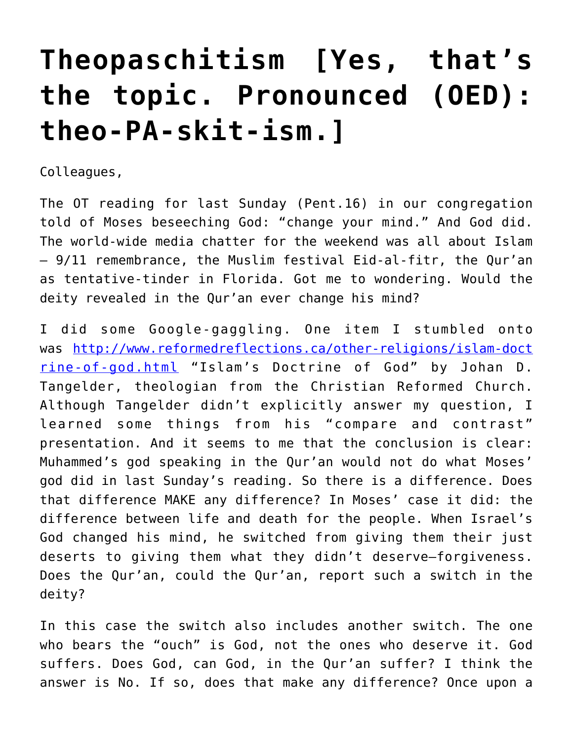## **[Theopaschitism \[Yes, that's](https://crossings.org/theopaschitism-yes-thats-the-topic-pronounced-oed-theo-pa-skit-ism/) [the topic. Pronounced \(OED\):](https://crossings.org/theopaschitism-yes-thats-the-topic-pronounced-oed-theo-pa-skit-ism/) [theo-PA-skit-ism.\]](https://crossings.org/theopaschitism-yes-thats-the-topic-pronounced-oed-theo-pa-skit-ism/)**

Colleagues,

The OT reading for last Sunday (Pent.16) in our congregation told of Moses beseeching God: "change your mind." And God did. The world-wide media chatter for the weekend was all about Islam — 9/11 remembrance, the Muslim festival Eid-al-fitr, the Qur'an as tentative-tinder in Florida. Got me to wondering. Would the deity revealed in the Qur'an ever change his mind?

I did some Google-gaggling. One item I stumbled onto was [http://www.reformedreflections.ca/other-religions/islam-doct](http://www.reformedreflections.ca/other-religions/islam-doctrine-of-god.html) [rine-of-god.html](http://www.reformedreflections.ca/other-religions/islam-doctrine-of-god.html) "Islam's Doctrine of God" by Johan D. Tangelder, theologian from the Christian Reformed Church. Although Tangelder didn't explicitly answer my question, I learned some things from his "compare and contrast" presentation. And it seems to me that the conclusion is clear: Muhammed's god speaking in the Qur'an would not do what Moses' god did in last Sunday's reading. So there is a difference. Does that difference MAKE any difference? In Moses' case it did: the difference between life and death for the people. When Israel's God changed his mind, he switched from giving them their just deserts to giving them what they didn't deserve–forgiveness. Does the Qur'an, could the Qur'an, report such a switch in the deity?

In this case the switch also includes another switch. The one who bears the "ouch" is God, not the ones who deserve it. God suffers. Does God, can God, in the Qur'an suffer? I think the answer is No. If so, does that make any difference? Once upon a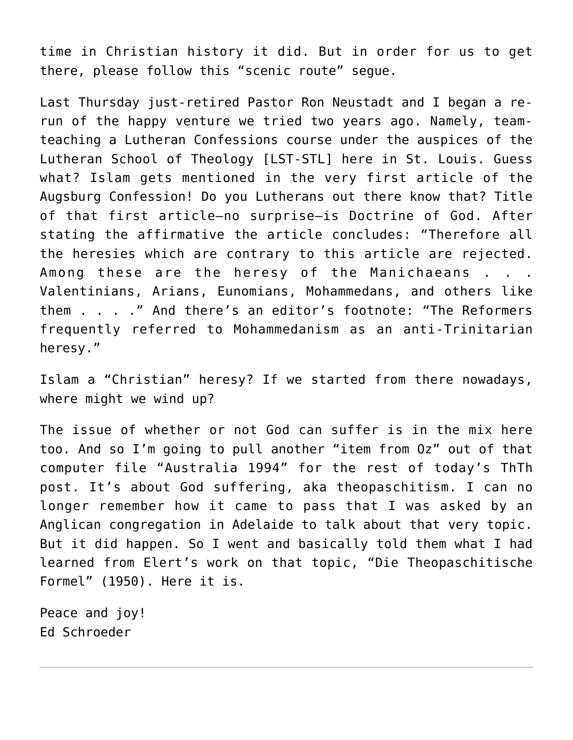time in Christian history it did. But in order for us to get there, please follow this "scenic route" segue.

Last Thursday just-retired Pastor Ron Neustadt and I began a rerun of the happy venture we tried two years ago. Namely, teamteaching a Lutheran Confessions course under the auspices of the Lutheran School of Theology [LST-STL] here in St. Louis. Guess what? Islam gets mentioned in the very first article of the Augsburg Confession! Do you Lutherans out there know that? Title of that first article–no surprise–is Doctrine of God. After stating the affirmative the article concludes: "Therefore all the heresies which are contrary to this article are rejected. Among these are the heresy of the Manichaeans . . . Valentinians, Arians, Eunomians, Mohammedans, and others like them . . . ." And there's an editor's footnote: "The Reformers frequently referred to Mohammedanism as an anti-Trinitarian heresy."

Islam a "Christian" heresy? If we started from there nowadays, where might we wind up?

The issue of whether or not God can suffer is in the mix here too. And so I'm going to pull another "item from Oz" out of that computer file "Australia 1994" for the rest of today's ThTh post. It's about God suffering, aka theopaschitism. I can no longer remember how it came to pass that I was asked by an Anglican congregation in Adelaide to talk about that very topic. But it did happen. So I went and basically told them what I had learned from Elert's work on that topic, "Die Theopaschitische Formel" (1950). Here it is.

Peace and joy! Ed Schroeder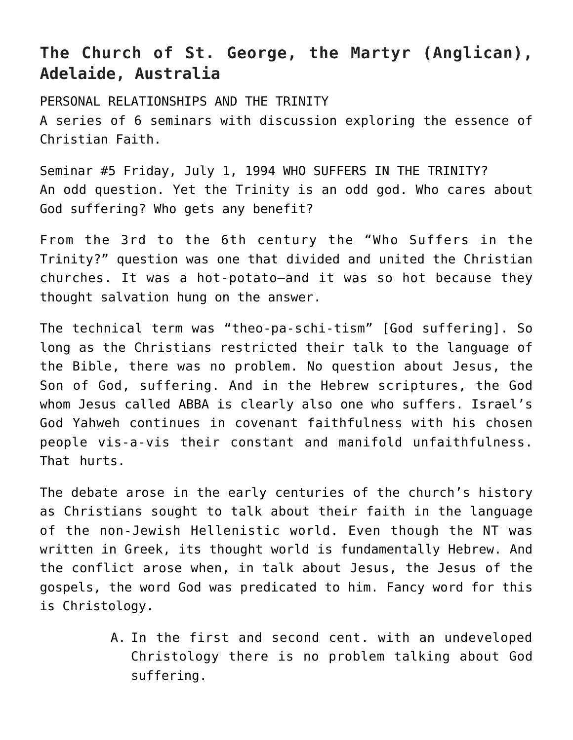## **The Church of St. George, the Martyr (Anglican), Adelaide, Australia**

PERSONAL RELATIONSHIPS AND THE TRINITY A series of 6 seminars with discussion exploring the essence of Christian Faith.

Seminar #5 Friday, July 1, 1994 WHO SUFFERS IN THE TRINITY? An odd question. Yet the Trinity is an odd god. Who cares about God suffering? Who gets any benefit?

From the 3rd to the 6th century the "Who Suffers in the Trinity?" question was one that divided and united the Christian churches. It was a hot-potato–and it was so hot because they thought salvation hung on the answer.

The technical term was "theo-pa-schi-tism" [God suffering]. So long as the Christians restricted their talk to the language of the Bible, there was no problem. No question about Jesus, the Son of God, suffering. And in the Hebrew scriptures, the God whom Jesus called ABBA is clearly also one who suffers. Israel's God Yahweh continues in covenant faithfulness with his chosen people vis-a-vis their constant and manifold unfaithfulness. That hurts.

The debate arose in the early centuries of the church's history as Christians sought to talk about their faith in the language of the non-Jewish Hellenistic world. Even though the NT was written in Greek, its thought world is fundamentally Hebrew. And the conflict arose when, in talk about Jesus, the Jesus of the gospels, the word God was predicated to him. Fancy word for this is Christology.

> A. In the first and second cent. with an undeveloped Christology there is no problem talking about God suffering.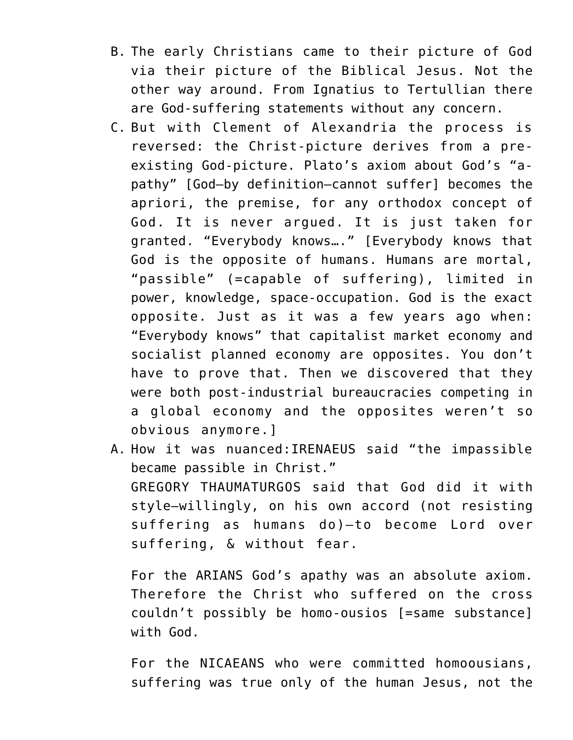- B. The early Christians came to their picture of God via their picture of the Biblical Jesus. Not the other way around. From Ignatius to Tertullian there are God-suffering statements without any concern.
- C. But with Clement of Alexandria the process is reversed: the Christ-picture derives from a preexisting God-picture. Plato's axiom about God's "apathy" [God–by definition–cannot suffer] becomes the apriori, the premise, for any orthodox concept of God. It is never argued. It is just taken for granted. "Everybody knows…." [Everybody knows that God is the opposite of humans. Humans are mortal, "passible" (=capable of suffering), limited in power, knowledge, space-occupation. God is the exact opposite. Just as it was a few years ago when: "Everybody knows" that capitalist market economy and socialist planned economy are opposites. You don't have to prove that. Then we discovered that they were both post-industrial bureaucracies competing in a global economy and the opposites weren't so obvious anymore.]
- A. How it was nuanced:IRENAEUS said "the impassible became passible in Christ." GREGORY THAUMATURGOS said that God did it with style–willingly, on his own accord (not resisting suffering as humans do)–to become Lord over suffering, & without fear.

For the ARIANS God's apathy was an absolute axiom. Therefore the Christ who suffered on the cross couldn't possibly be homo-ousios [=same substance] with God.

For the NICAEANS who were committed homoousians, suffering was true only of the human Jesus, not the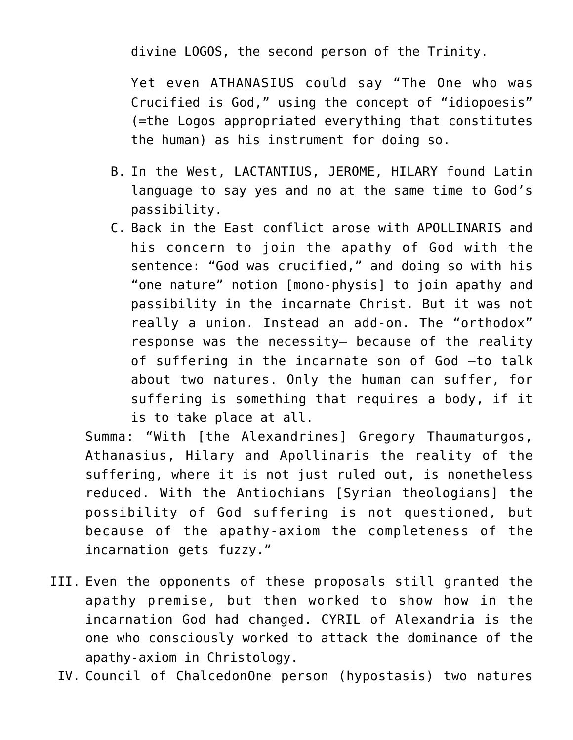divine LOGOS, the second person of the Trinity.

Yet even ATHANASIUS could say "The One who was Crucified is God," using the concept of "idiopoesis" (=the Logos appropriated everything that constitutes the human) as his instrument for doing so.

- B. In the West, LACTANTIUS, JEROME, HILARY found Latin language to say yes and no at the same time to God's passibility.
- C. Back in the East conflict arose with APOLLINARIS and his concern to join the apathy of God with the sentence: "God was crucified," and doing so with his "one nature" notion [mono-physis] to join apathy and passibility in the incarnate Christ. But it was not really a union. Instead an add-on. The "orthodox" response was the necessity– because of the reality of suffering in the incarnate son of God –to talk about two natures. Only the human can suffer, for suffering is something that requires a body, if it is to take place at all.

Summa: "With [the Alexandrines] Gregory Thaumaturgos, Athanasius, Hilary and Apollinaris the reality of the suffering, where it is not just ruled out, is nonetheless reduced. With the Antiochians [Syrian theologians] the possibility of God suffering is not questioned, but because of the apathy-axiom the completeness of the incarnation gets fuzzy."

- III. Even the opponents of these proposals still granted the apathy premise, but then worked to show how in the incarnation God had changed. CYRIL of Alexandria is the one who consciously worked to attack the dominance of the apathy-axiom in Christology.
	- IV. Council of ChalcedonOne person (hypostasis) two natures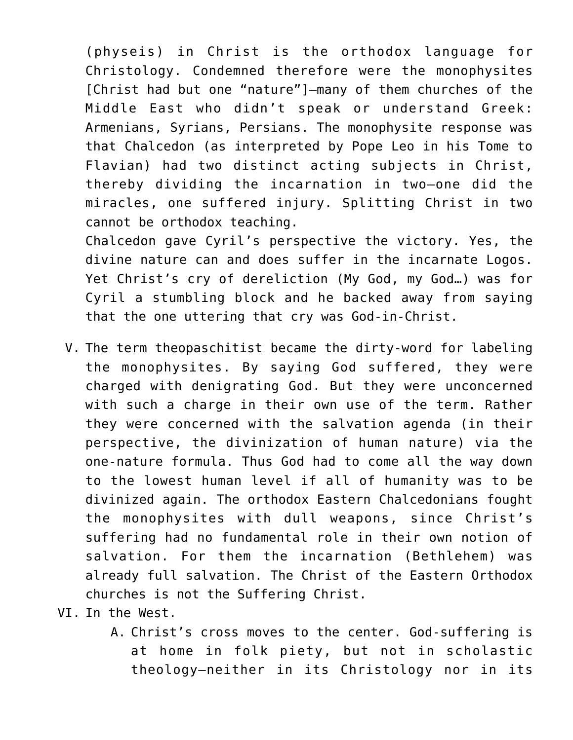(physeis) in Christ is the orthodox language for Christology. Condemned therefore were the monophysites [Christ had but one "nature"]–many of them churches of the Middle East who didn't speak or understand Greek: Armenians, Syrians, Persians. The monophysite response was that Chalcedon (as interpreted by Pope Leo in his Tome to Flavian) had two distinct acting subjects in Christ, thereby dividing the incarnation in two–one did the miracles, one suffered injury. Splitting Christ in two cannot be orthodox teaching.

Chalcedon gave Cyril's perspective the victory. Yes, the divine nature can and does suffer in the incarnate Logos. Yet Christ's cry of dereliction (My God, my God…) was for Cyril a stumbling block and he backed away from saying that the one uttering that cry was God-in-Christ.

- V. The term theopaschitist became the dirty-word for labeling the monophysites. By saying God suffered, they were charged with denigrating God. But they were unconcerned with such a charge in their own use of the term. Rather they were concerned with the salvation agenda (in their perspective, the divinization of human nature) via the one-nature formula. Thus God had to come all the way down to the lowest human level if all of humanity was to be divinized again. The orthodox Eastern Chalcedonians fought the monophysites with dull weapons, since Christ's suffering had no fundamental role in their own notion of salvation. For them the incarnation (Bethlehem) was already full salvation. The Christ of the Eastern Orthodox churches is not the Suffering Christ.
- VI. In the West.
	- A. Christ's cross moves to the center. God-suffering is at home in folk piety, but not in scholastic theology–neither in its Christology nor in its